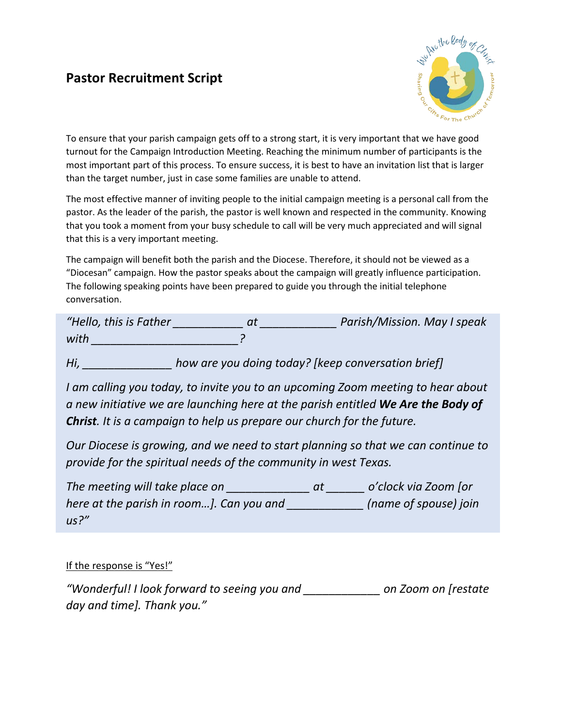## **Pastor Recruitment Script**



To ensure that your parish campaign gets off to a strong start, it is very important that we have good turnout for the Campaign Introduction Meeting. Reaching the minimum number of participants is the most important part of this process. To ensure success, it is best to have an invitation list that is larger than the target number, just in case some families are unable to attend.

The most effective manner of inviting people to the initial campaign meeting is a personal call from the pastor. As the leader of the parish, the pastor is well known and respected in the community. Knowing that you took a moment from your busy schedule to call will be very much appreciated and will signal that this is a very important meeting.

The campaign will benefit both the parish and the Diocese. Therefore, it should not be viewed as a "Diocesan" campaign. How the pastor speaks about the campaign will greatly influence participation. The following speaking points have been prepared to guide you through the initial telephone conversation.

| "Hello, this is Father | Parish/Mission. May I speak |
|------------------------|-----------------------------|
| with                   |                             |

*Hi, \_\_\_\_\_\_\_\_\_\_\_\_\_\_ how are you doing today? [keep conversation brief]*

*I am calling you today, to invite you to an upcoming Zoom meeting to hear about a new initiative we are launching here at the parish entitled We Are the Body of Christ. It is a campaign to help us prepare our church for the future.*

*Our Diocese is growing, and we need to start planning so that we can continue to provide for the spiritual needs of the community in west Texas.*

| The meeting will take place on           | at | o'clock via Zoom [or  |
|------------------------------------------|----|-----------------------|
| here at the parish in room]. Can you and |    | (name of spouse) join |
| us?''                                    |    |                       |

#### If the response is "Yes!"

*"Wonderful! I look forward to seeing you and \_\_\_\_\_\_\_\_\_\_\_\_ on Zoom on [restate day and time]. Thank you."*